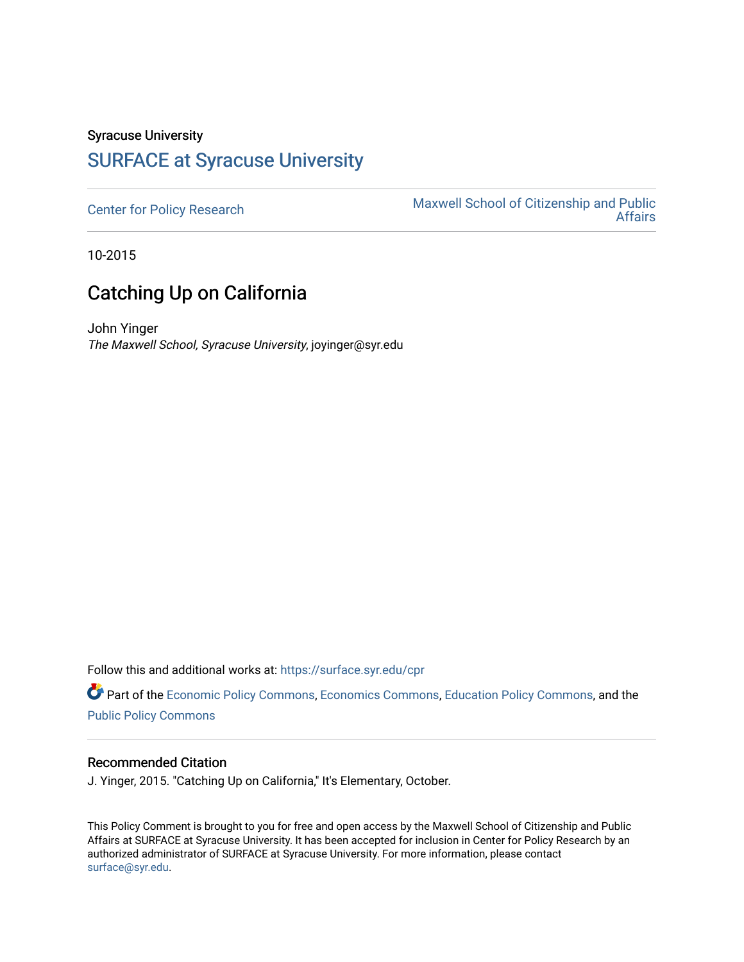## Syracuse University [SURFACE at Syracuse University](https://surface.syr.edu/)

[Center for Policy Research](https://surface.syr.edu/cpr) Maxwell School of Citizenship and Public<br>Affairs [Affairs](https://surface.syr.edu/maxwell) 

10-2015

## Catching Up on California

John Yinger The Maxwell School, Syracuse University, joyinger@syr.edu

Follow this and additional works at: [https://surface.syr.edu/cpr](https://surface.syr.edu/cpr?utm_source=surface.syr.edu%2Fcpr%2F356&utm_medium=PDF&utm_campaign=PDFCoverPages) 

Part of the [Economic Policy Commons](http://network.bepress.com/hgg/discipline/1025?utm_source=surface.syr.edu%2Fcpr%2F356&utm_medium=PDF&utm_campaign=PDFCoverPages), [Economics Commons,](http://network.bepress.com/hgg/discipline/340?utm_source=surface.syr.edu%2Fcpr%2F356&utm_medium=PDF&utm_campaign=PDFCoverPages) [Education Policy Commons](http://network.bepress.com/hgg/discipline/1026?utm_source=surface.syr.edu%2Fcpr%2F356&utm_medium=PDF&utm_campaign=PDFCoverPages), and the [Public Policy Commons](http://network.bepress.com/hgg/discipline/400?utm_source=surface.syr.edu%2Fcpr%2F356&utm_medium=PDF&utm_campaign=PDFCoverPages)

## Recommended Citation

J. Yinger, 2015. "Catching Up on California," It's Elementary, October.

This Policy Comment is brought to you for free and open access by the Maxwell School of Citizenship and Public Affairs at SURFACE at Syracuse University. It has been accepted for inclusion in Center for Policy Research by an authorized administrator of SURFACE at Syracuse University. For more information, please contact [surface@syr.edu.](mailto:surface@syr.edu)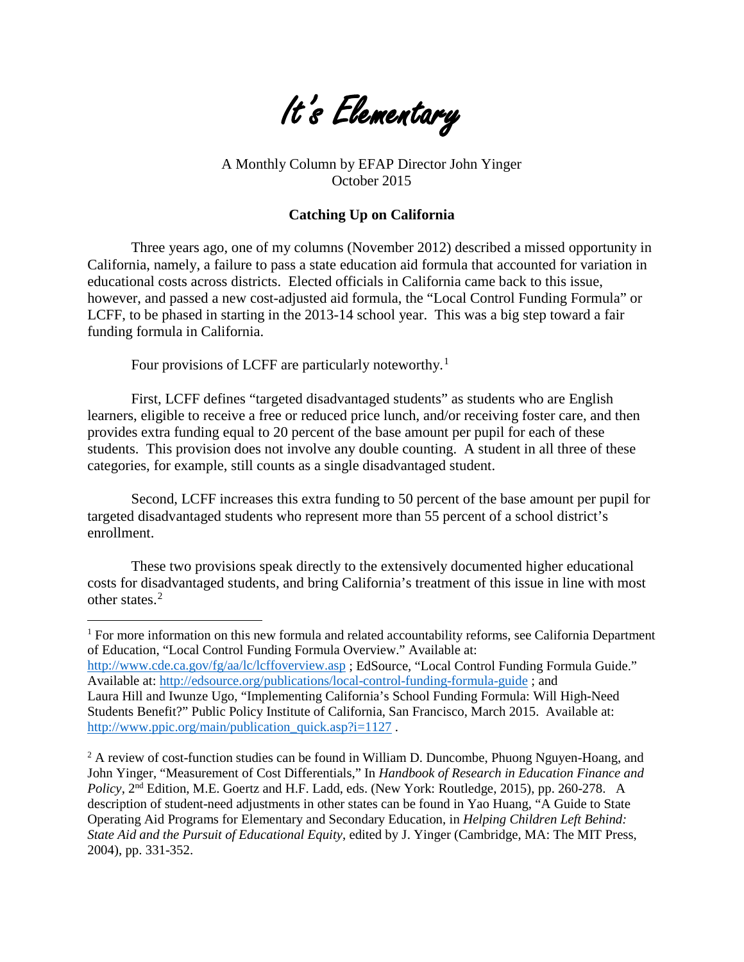

A Monthly Column by EFAP Director John Yinger October 2015

## **Catching Up on California**

Three years ago, one of my columns (November 2012) described a missed opportunity in California, namely, a failure to pass a state education aid formula that accounted for variation in educational costs across districts. Elected officials in California came back to this issue, however, and passed a new cost-adjusted aid formula, the "Local Control Funding Formula" or LCFF, to be phased in starting in the 2013-14 school year. This was a big step toward a fair funding formula in California.

Four provisions of LCFF are particularly noteworthy.<sup>[1](#page-3-0)</sup>

First, LCFF defines "targeted disadvantaged students" as students who are English learners, eligible to receive a free or reduced price lunch, and/or receiving foster care, and then provides extra funding equal to 20 percent of the base amount per pupil for each of these students. This provision does not involve any double counting. A student in all three of these categories, for example, still counts as a single disadvantaged student.

Second, LCFF increases this extra funding to 50 percent of the base amount per pupil for targeted disadvantaged students who represent more than 55 percent of a school district's enrollment.

These two provisions speak directly to the extensively documented higher educational costs for disadvantaged students, and bring California's treatment of this issue in line with most other states. [2](#page-1-0)

 $\overline{a}$ 

<sup>1</sup> For more information on this new formula and related accountability reforms, see California Department of Education, "Local Control Funding Formula Overview." Available at: <http://www.cde.ca.gov/fg/aa/lc/lcffoverview.asp> ; EdSource, "Local Control Funding Formula Guide." Available at:<http://edsource.org/publications/local-control-funding-formula-guide> ; and Laura Hill and Iwunze Ugo, "Implementing California's School Funding Formula: Will High-Need Students Benefit?" Public Policy Institute of California, San Francisco, March 2015. Available at:

[http://www.ppic.org/main/publication\\_quick.asp?i=1127](http://www.ppic.org/main/publication_quick.asp?i=1127).

<span id="page-1-0"></span> $2A$  review of cost-function studies can be found in William D. Duncombe, Phuong Nguyen-Hoang, and John Yinger, "Measurement of Cost Differentials," In *Handbook of Research in Education Finance and Policy*, 2nd Edition, M.E. Goertz and H.F. Ladd, eds. (New York: Routledge, 2015), pp. 260-278. A description of student-need adjustments in other states can be found in Yao Huang, "A Guide to State Operating Aid Programs for Elementary and Secondary Education, in *Helping Children Left Behind: State Aid and the Pursuit of Educational Equity*, edited by J. Yinger (Cambridge, MA: The MIT Press, 2004), pp. 331-352.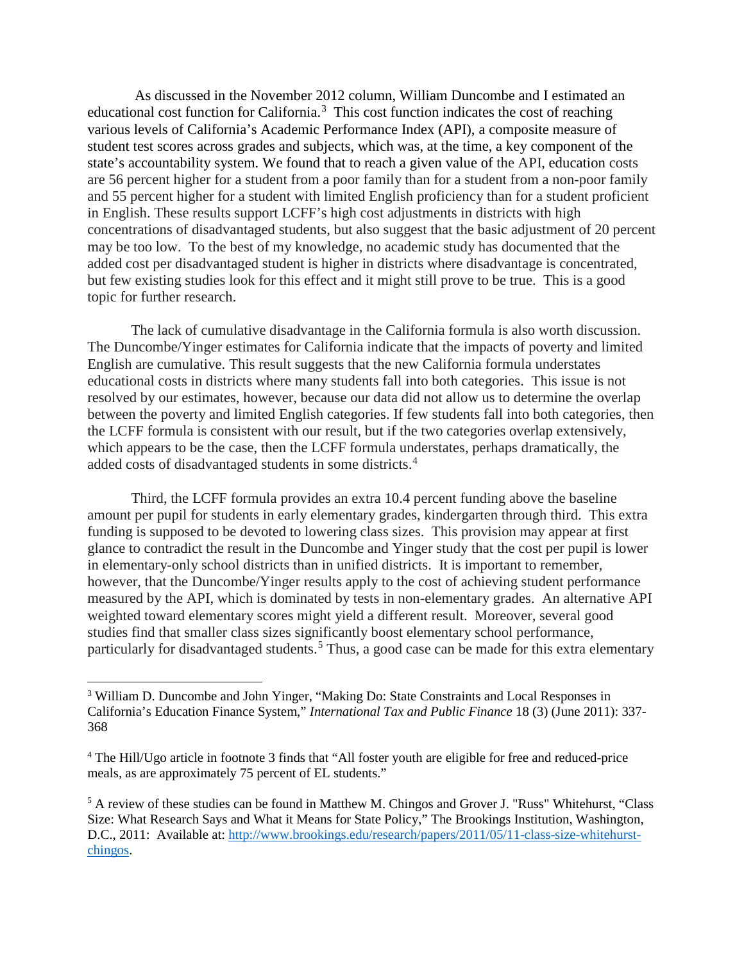As discussed in the November 2012 column, William Duncombe and I estimated an educational cost function for California.<sup>[3](#page-2-0)</sup> This cost function indicates the cost of reaching various levels of California's Academic Performance Index (API), a composite measure of student test scores across grades and subjects, which was, at the time, a key component of the state's accountability system. We found that to reach a given value of the API, education costs are 56 percent higher for a student from a poor family than for a student from a non-poor family and 55 percent higher for a student with limited English proficiency than for a student proficient in English. These results support LCFF's high cost adjustments in districts with high concentrations of disadvantaged students, but also suggest that the basic adjustment of 20 percent may be too low. To the best of my knowledge, no academic study has documented that the added cost per disadvantaged student is higher in districts where disadvantage is concentrated, but few existing studies look for this effect and it might still prove to be true. This is a good topic for further research.

The lack of cumulative disadvantage in the California formula is also worth discussion. The Duncombe/Yinger estimates for California indicate that the impacts of poverty and limited English are cumulative. This result suggests that the new California formula understates educational costs in districts where many students fall into both categories. This issue is not resolved by our estimates, however, because our data did not allow us to determine the overlap between the poverty and limited English categories. If few students fall into both categories, then the LCFF formula is consistent with our result, but if the two categories overlap extensively, which appears to be the case, then the LCFF formula understates, perhaps dramatically, the added costs of disadvantaged students in some districts.<sup>[4](#page-2-1)</sup>

Third, the LCFF formula provides an extra 10.4 percent funding above the baseline amount per pupil for students in early elementary grades, kindergarten through third. This extra funding is supposed to be devoted to lowering class sizes. This provision may appear at first glance to contradict the result in the Duncombe and Yinger study that the cost per pupil is lower in elementary-only school districts than in unified districts. It is important to remember, however, that the Duncombe/Yinger results apply to the cost of achieving student performance measured by the API, which is dominated by tests in non-elementary grades. An alternative API weighted toward elementary scores might yield a different result. Moreover, several good studies find that smaller class sizes significantly boost elementary school performance, particularly for disadvantaged students.<sup>[5](#page-2-2)</sup> Thus, a good case can be made for this extra elementary

 $\overline{a}$ 

<span id="page-2-0"></span><sup>3</sup> William D. Duncombe and John Yinger, "Making Do: State Constraints and Local Responses in California's Education Finance System," *International Tax and Public Finance* 18 (3) (June 2011): 337- 368

<span id="page-2-1"></span><sup>4</sup> The Hill/Ugo article in footnote 3 finds that "All foster youth are eligible for free and reduced-price meals, as are approximately 75 percent of EL students."

<span id="page-2-2"></span><sup>5</sup> A review of these studies can be found in Matthew M. Chingos and Grover J. "Russ" Whitehurst, "Class Size: What Research Says and What it Means for State Policy," The Brookings Institution, Washington, D.C., 2011: Available at: [http://www.brookings.edu/research/papers/2011/05/11-class-size-whitehurst](http://www.brookings.edu/research/papers/2011/05/11-class-size-whitehurst-chingos)[chingos.](http://www.brookings.edu/research/papers/2011/05/11-class-size-whitehurst-chingos)